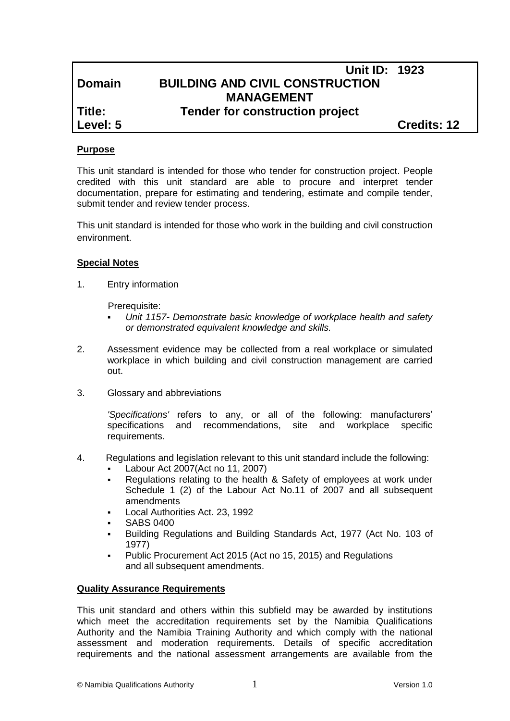# **Unit ID: 1923 Domain BUILDING AND CIVIL CONSTRUCTION MANAGEMENT**

## **Title: Tender for construction project**

**Level: 5 Credits: 12**

### **Purpose**

This unit standard is intended for those who tender for construction project. People credited with this unit standard are able to procure and interpret tender documentation, prepare for estimating and tendering, estimate and compile tender, submit tender and review tender process.

This unit standard is intended for those who work in the building and civil construction environment.

#### **Special Notes**

1. Entry information

Prerequisite:

- *Unit 1157- Demonstrate basic knowledge of workplace health and safety or demonstrated equivalent knowledge and skills.*
- 2. Assessment evidence may be collected from a real workplace or simulated workplace in which building and civil construction management are carried out.
- 3. Glossary and abbreviations

*'Specifications'* refers to any, or all of the following: manufacturers' specifications and recommendations, site and workplace specific requirements.

- 4. Regulations and legislation relevant to this unit standard include the following:
	- Labour Act 2007(Act no 11, 2007)
	- Regulations relating to the health & Safety of employees at work under Schedule 1 (2) of the Labour Act No.11 of 2007 and all subsequent amendments
	- Local Authorities Act. 23, 1992
	- SABS 0400
	- Building Regulations and Building Standards Act, 1977 (Act No. 103 of 1977)
	- Public Procurement Act 2015 (Act no 15, 2015) and Regulations and all subsequent amendments.

### **Quality Assurance Requirements**

This unit standard and others within this subfield may be awarded by institutions which meet the accreditation requirements set by the Namibia Qualifications Authority and the Namibia Training Authority and which comply with the national assessment and moderation requirements. Details of specific accreditation requirements and the national assessment arrangements are available from the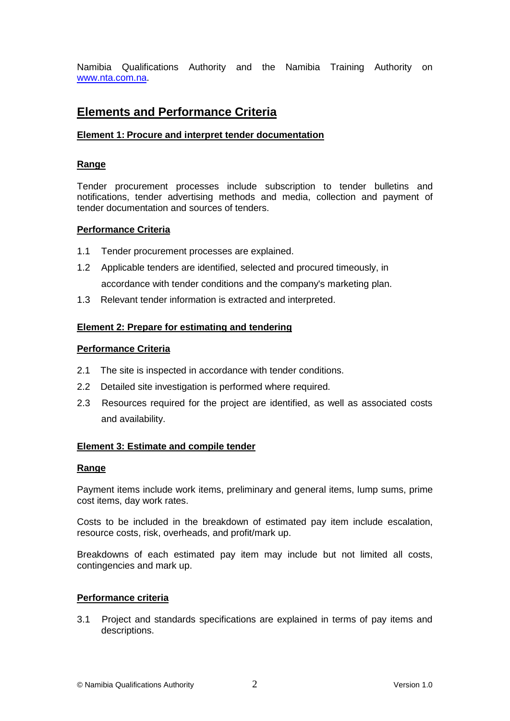Namibia Qualifications Authority and the Namibia Training Authority on [www.nta.com.na.](http://www.nta.com.na/)

# **Elements and Performance Criteria**

### **Element 1: Procure and interpret tender documentation**

#### **Range**

Tender procurement processes include subscription to tender bulletins and notifications, tender advertising methods and media, collection and payment of tender documentation and sources of tenders.

#### **Performance Criteria**

- 1.1 Tender procurement processes are explained.
- 1.2 Applicable tenders are identified, selected and procured timeously, in accordance with tender conditions and the company's marketing plan.
- 1.3 Relevant tender information is extracted and interpreted.

#### **Element 2: Prepare for estimating and tendering**

#### **Performance Criteria**

- 2.1 The site is inspected in accordance with tender conditions.
- 2.2 Detailed site investigation is performed where required.
- 2.3 Resources required for the project are identified, as well as associated costs and availability.

### **Element 3: Estimate and compile tender**

#### **Range**

Payment items include work items, preliminary and general items, lump sums, prime cost items, day work rates.

Costs to be included in the breakdown of estimated pay item include escalation, resource costs, risk, overheads, and profit/mark up.

Breakdowns of each estimated pay item may include but not limited all costs, contingencies and mark up.

#### **Performance criteria**

3.1 Project and standards specifications are explained in terms of pay items and descriptions.